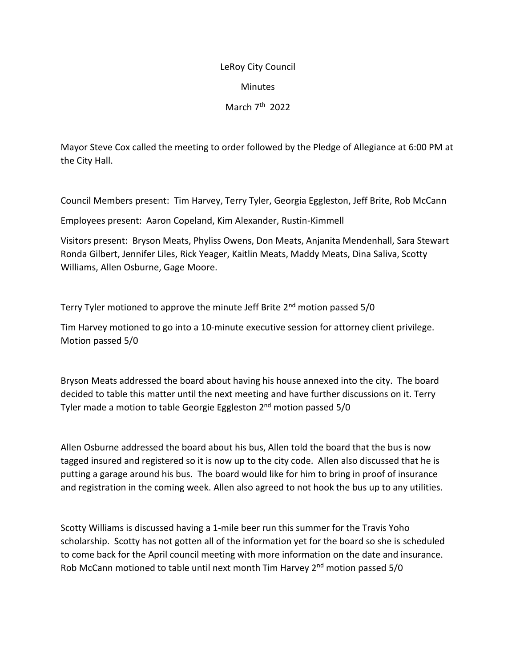## LeRoy City Council Minutes

March 7<sup>th</sup> 2022

Mayor Steve Cox called the meeting to order followed by the Pledge of Allegiance at 6:00 PM at the City Hall.

Council Members present: Tim Harvey, Terry Tyler, Georgia Eggleston, Jeff Brite, Rob McCann

Employees present: Aaron Copeland, Kim Alexander, Rustin-Kimmell

Visitors present: Bryson Meats, Phyliss Owens, Don Meats, Anjanita Mendenhall, Sara Stewart Ronda Gilbert, Jennifer Liles, Rick Yeager, Kaitlin Meats, Maddy Meats, Dina Saliva, Scotty Williams, Allen Osburne, Gage Moore.

Terry Tyler motioned to approve the minute Jeff Brite 2<sup>nd</sup> motion passed 5/0

Tim Harvey motioned to go into a 10-minute executive session for attorney client privilege. Motion passed 5/0

Bryson Meats addressed the board about having his house annexed into the city. The board decided to table this matter until the next meeting and have further discussions on it. Terry Tyler made a motion to table Georgie Eggleston 2<sup>nd</sup> motion passed 5/0

Allen Osburne addressed the board about his bus, Allen told the board that the bus is now tagged insured and registered so it is now up to the city code. Allen also discussed that he is putting a garage around his bus. The board would like for him to bring in proof of insurance and registration in the coming week. Allen also agreed to not hook the bus up to any utilities.

Scotty Williams is discussed having a 1-mile beer run this summer for the Travis Yoho scholarship. Scotty has not gotten all of the information yet for the board so she is scheduled to come back for the April council meeting with more information on the date and insurance. Rob McCann motioned to table until next month Tim Harvey  $2<sup>nd</sup>$  motion passed 5/0